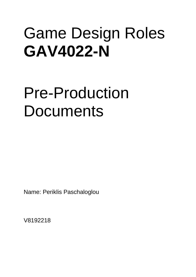# Game Design Roles **GAV4022-N**

# Pre-Production Documents

Name: Periklis Paschaloglou

V8192218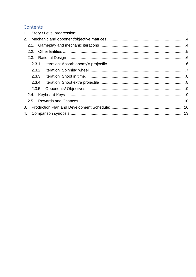# Contents

| 3. |  |  |
|----|--|--|
| 4. |  |  |
|    |  |  |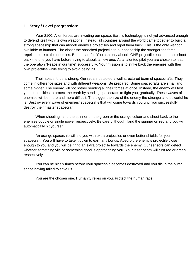## <span id="page-2-0"></span>**1. Story / Level progression:**

Year 2100. Alien forces are invading our space. Earth's technology is not yet advanced enough to defend itself with its own weapons. Instead, all countries around the world came together to build a strong spaceship that can absorb enemy's projectiles and repel them back. This is the only weapon available to humans. The closer the absorbed projectile to our spaceship the stronger the force repelled back to the enemies. But be careful. You can only absorb ONE projectile each time, so shoot back the one you have before trying to absorb a new one. As a talented pilot you are chosen to lead the operation "Peace in our time" successfully. Your mission is to strike back the enemies with their own projectiles while trying to avoid being hit.

Their space force is strong. Our radars detected a well-structured team of spacecrafts. They come in difference sizes and with different weapons. Be prepared. Some spacecrafts are small and some bigger. The enemy will not bother sending all their forces at once. Instead, the enemy will test your capabilities to protect the earth by sending spacecrafts to fight you, gradually. These waves of enemies will be more and more difficult. The bigger the size of the enemy the stronger and powerful he is. Destroy every wave of enemies' spacecrafts that will come towards you until you successfully destroy their master spacecraft.

When shooting, land the spinner on the green or the orange colour and shoot back to the enemies double or single power respectively. Be careful though, land the spinner on red and you will automatically hit yourself.

An orange spaceship will aid you with extra projectiles or even better shields for your spacecraft. You will have to take it down to earn any bonus. Absorb the enemy's projectile close enough to you and you will be firing an extra projectile towards the enemy. Our sensors can detect whether something vile or something good is approaching you. Your laser beam will turn red or green respectively.

You can be hit six times before your spaceship becomes destroyed and you die in the outer space having failed to save us.

You are the chosen one. Humanity relies on you. Protect the human race!!!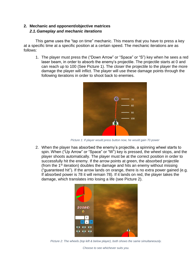# <span id="page-3-1"></span><span id="page-3-0"></span>**2. Mechanic and opponent/objective matrices** *2.1.Gameplay and mechanic iterations*

This game uses the "tap on time" mechanic. This means that you have to press a key at a specific time at a specific position at a certain speed. The mechanic iterations are as follows:

1. The player must press the ("Down Arrow" or "Space" or "S") key when he sees a red laser beam, in order to absorb the enemy's projectile. The projectile starts at 0 and can reach up to 100 (See Picture 1). The closer the projectile to the player the more damage the player will inflict. The player will use these damage points through the following iterations in order to shoot back to enemies.



*Picture 1: If player would press button now, he would gain 70 power*

2. When the player has absorbed the enemy's projectile, a spinning wheel starts to spin. When ("Up Arrow" or "Space" or "W") key is pressed, the wheel stops, and the player shoots automatically. The player must be at the correct position in order to successfully hit the enemy. If the arrow points at green, the absorbed projectile (from the  $1<sup>st</sup>$  iteration) doubles the damage and hits an enemy without missing ("guaranteed hit"). If the arrow lands on orange, there is no extra power gained (e.g. If absorbed power is 78 it will remain 78). If it lands on red, the player takes the damage, which translates into losing a life (see Picture 2).



*Picture 2: The wheels (top left & below player), both shows the same simultaneously.* 

*Choose to see whichever suits you.*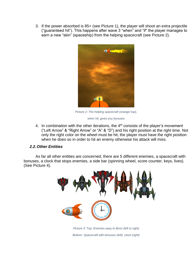3. If the power absorbed is 85+ (see Picture 1), the player will shoot an extra projectile ("guaranteed hit"). This happens after wave 3 "when" and "if" the player manages to earn a new "skin" (spaceship) from the helping spacecraft (see Picture 2).



*Picture 2: The helping spacecraft (orange/ top),* 

*when hit, gives you bonuses* 

4. In combination with the other iterations, the  $4<sup>th</sup>$  consists of the player's movement ("Left Arrow" & "Right Arrow" or "A" & "D") and his right position at the right time. Not only the right color on the wheel must be hit, the player must have the right position when he does so in order to hit an enemy otherwise his attack will miss.

# <span id="page-4-0"></span>*2.2.Other Entities*

As far all other entities are concerned, there are 5 different enemies, a spacecraft with bonuses, a clock that stops enemies, a side bar (spinning wheel, score counter, keys, lives). (See Picture 4).



*Picture 3: Top: Enemies easy to Boss (left to right) Bottom: Spacecraft with bonuses (left), clock (right)*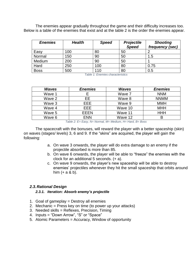The enemies appear gradually throughout the game and their difficulty increases too. Below is a table of the enemies that exist and at the table 2 is the order the enemies appear.

| <b>Enemies</b> | <b>Health</b> | <b>Speed</b> | <b>Projectile</b> | <b>Shooting</b> |
|----------------|---------------|--------------|-------------------|-----------------|
|                |               |              | <b>Speed</b>      | frequency (sec) |
| Easy           | 100           | 80           | 50                |                 |
| Normal         | 150           | 90           | 50                | 1.5             |
| Medium         | 200           | 90           | 50                |                 |
| Hard           | 250           | 100          | 80                | 0.75            |
| <b>Boss</b>    | 500           | 110          | 80                | 0.5             |

*Table 1: Enemies characteristics*

| <b>Waves</b> | <b>Enemies</b> | <b>Waves</b> | <b>Enemies</b> |
|--------------|----------------|--------------|----------------|
| Wave 1       |                | Wave 7       | <b>NNM</b>     |
| Wave 2       | EЕ             | Wave 8       | <b>NNMM</b>    |
| Wave 3       | EEE            | Wave 9       | <b>MMH</b>     |
| Wave 4       | EEE.           | Wave 10      | <b>MHH</b>     |
| Wave 5       | <b>EEEN</b>    | Wave 11      | HHH            |
| Wave 6       | <b>ENN</b>     | Wave 12      |                |

*Table 2: E= Easy, N= Normal, M= Medium, H= Hard, B= Boss*

The spacecraft with the bonuses, will reward the player with a better spaceship (skin) on waves (stages/ levels) 3, 6 and 9. If the "skins" are acquired, the player will gain the following:

- a. On wave 3 onwards, the player will do extra damage to an enemy if the projectile absorbed is more than 85.
- b. On wave 6 onwards, the player will be able to "freeze" the enemies with the clock for an additional 5 seconds. (+ a).
- c. On wave 9 onwards, the player's new spaceship will be able to destroy enemies' projectiles whenever they hit the small spaceship that orbits around him  $(+ a & b)$ .

## <span id="page-5-1"></span><span id="page-5-0"></span>*2.3.Rational Design*

#### *2.3.1. Iteration: Absorb enemy's projectile*

- 1. Goal of gameplay = Destroy all enemies
- 2. Mechanic = Press key on time (to power up your attacks)
- 3. Needed skills = Reflexes, Precision, Timing
- 4. Inputs = "Down Arrow", "S" or "Space"
- 5. Atomic Parameters = Accuracy, Window of opportunity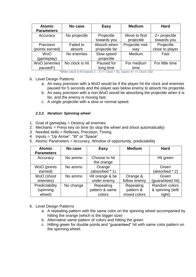| <b>Atomic</b><br><b>Parameters</b> | No case             | <b>Easy</b>                   | <b>Medium</b>              | <b>Hard</b>                   |  |
|------------------------------------|---------------------|-------------------------------|----------------------------|-------------------------------|--|
| Accuracy                           | No projectile       | Projectile<br>towards you     | Move to find<br>projectile | 2+ projectile<br>towards you  |  |
| Precision<br>(points earned)       | Failed to<br>absorb | Absorb when<br>projectile far | Projectile mid-<br>way     | Projectile<br>close to player |  |
| <b>WoO</b><br>(gameplay)           | No enemies          | Slow speed<br>projectile      | Medium                     | Fast                          |  |
| WoO (enemies<br>paused*)           | No clock is hit     | Paused for<br>long time       | For medium<br>time         | For little time               |  |

*\*When clock is hit (waves 1 – 5 => Clock = 5s, waves 6+ => Clock 10s)*

## 6. Level Design Patterns

- a. An easy precision with a WoO would be if the player hit the clock and enemies paused for 5 seconds and the player was below enemy to absorb his projectile.
- b. An easy precision with a non-WoO would be absorbing the projectile when it is far, and the enemy is moving fast.
- c. A single projectile with a slow or normal speed.

# *2.3.2. Iteration: Spinning wheel*

- <span id="page-6-0"></span>1. Goal of gameplay = Destroy all enemies
- 2. Mechanic = Press key on time (to stop the wheel and shoot automatically)
- 3. Needed skills = Reflexes, Precision, Timing
- 4. Inputs = "Up Arrow", "W" or "Space"
- 5. Atomic Parameters = Accuracy, Window of opportunity, predictability

| <b>Atomic</b><br><b>Parameters</b> | No case   | <b>Easy</b>                 | <b>Medium</b> | <b>Hard</b>             |
|------------------------------------|-----------|-----------------------------|---------------|-------------------------|
| Accuracy                           | No ammo   | Choose to hit<br>the orange |               | Hit green               |
| WoO (points<br>earned)             | No ammo   | Orange<br>(absorbed * 1)    |               | Green<br>(absorbed * 2) |
| WoO (shoot                         | No ammo   | Hit orange & be             | Orange &      | Green                   |
| enemies)                           |           | under enemy                 | follow enemy  | (guaranteed hit)        |
| Predictability                     | No change | Repeating                   | Repeating     | Random colors           |
| (spinning                          |           | pattern & same              | pattern &     | & spinning (left/       |
| wheel)                             |           | colors                      | mixed colors  | right)                  |

- 6. Level Design Patterns
	- a. A repeating pattern with the same color on the spinning wheel accompanied by hitting the orange (which is the bigger size)
	- b. Alternative same pattern of colors and hitting the green
	- c. Hitting green for double points and "guaranteed" hit with same color pattern on the spinning wheel.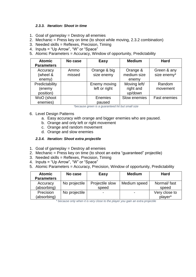#### *2.3.3. Iteration: Shoot in time*

- <span id="page-7-0"></span>1. Goal of gameplay = Destroy all enemies
- 2. Mechanic = Press key on time (to shoot while moving, 2.3.2 combination)
- 3. Needed skills = Reflexes, Precision, Timing
- 4. Inputs = "Up Arrow", "W" or "Space"
- 5. Atomic Parameters = Accuracy, Window of opportunity, Predictability

| <b>Atomic</b>     | No case | <b>Easy</b>   | <b>Medium</b> | <b>Hard</b>         |
|-------------------|---------|---------------|---------------|---------------------|
| <b>Parameters</b> |         |               |               |                     |
| Accuracy          | Ammo    | Orange & big  | Orange &      | Green & any         |
| (wheel &          | missed  | size enemy    | medium size   | size enemy*         |
| enemy)            |         |               | enemy         |                     |
| Predictability    |         | Enemy moving  | Moving left/  | Random              |
| (enemy            |         | left or right | right and     | movement            |
| position)         |         |               | up/down       |                     |
| WoO (shoot        |         | Enemies       | Slow enemies  | <b>Fast enemies</b> |
| enemies)          |         | paused        |               |                     |

*\*because green is a guaranteed hit but small size*

- 6. Level Design Patterns
	- a. Easy accuracy with orange and bigger enemies who are paused.
	- b. Orange and only left or right movement
	- c. Orange and random movement
	- d. Orange and slow enemies

#### *2.3.4. Iteration: Shoot extra projectile*

- <span id="page-7-1"></span>1. Goal of gameplay = Destroy all enemies
- 2. Mechanic = Press key on time (to shoot an extra "guaranteed" projectile)
- 3. Needed skills = Reflexes, Precision, Timing
- 4. Inputs = "Up Arrow", "W" or "Space"
- 5. Atomic Parameters = Accuracy, Precision, Window of opportunity, Predictability

| <b>Atomic</b><br><b>Parameters</b> | No case       | <b>Easy</b>              | <b>Medium</b> | <b>Hard</b>              |
|------------------------------------|---------------|--------------------------|---------------|--------------------------|
| Accuracy<br>(absorbing)            | No projectile | Projectile slow<br>speed | Medium speed  | Normal/fast<br>speed     |
| Precision<br>(absorbing)           | No projectile |                          |               | Very close to<br>player* |

*\* because only when it is very close to the player you gain an extra projectile*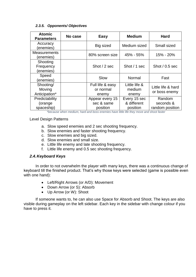### *2.3.5. Opponents/ Objectives*

<span id="page-8-0"></span>

| <b>Atomic</b><br><b>Parameters</b>      | No case | <b>Easy</b>                               | <b>Medium</b>                           | <b>Hard</b>                            |  |
|-----------------------------------------|---------|-------------------------------------------|-----------------------------------------|----------------------------------------|--|
| Accuracy<br>(enemies)                   |         | <b>Big sized</b>                          | Medium sized                            | Small sized                            |  |
| <b>Measurements</b><br>(enemies)        |         | 80% screen size                           | 45% - 55%                               | 15% - 20%                              |  |
| Shooting<br>Frequency<br>(enemies)      |         | Shot / 2 sec                              | Shot / 1 sec                            | Shot $/$ 0.5 sec                       |  |
| Speed<br>(enemies)                      |         | Slow                                      | Normal                                  | Fast                                   |  |
| Shooting/<br>Moving<br>Anticipation*    |         | Full life & easy<br>or normal<br>enemy    | Little life &<br>medium<br>enemy        | Little life & hard<br>or boss enemy    |  |
| Predictability<br>(orange<br>spaceship) |         | Appear every 15<br>sec & same<br>position | Every 15 sec<br>& different<br>position | Random<br>seconds &<br>random position |  |

*\*because when medium, hard and boss enemies have little life they move and shoot faster*

Level Design Patterns

- a. Slow speed enemies and 2 sec shooting frequency.
- b. Slow enemies and faster shooting frequency.
- c. Slow enemies and big sized.
- d. Slow enemies and small size.
- e. Little life enemy and late shooting frequency.
- f. Little life enemy and 0.5 sec shooting frequency.

## <span id="page-8-1"></span>*2.4.Keyboard Keys*

In order to not overwhelm the player with many keys, there was a continuous change of keyboard till the finished product. That's why those keys were selected (game is possible even with one hand):

- Left/Right Arrows (or A/D): Movement
- Down Arrow (or S): Absorb
- Up Arrow (or W): Shoot

If someone wants to, he can also use Space for Absorb and Shoot. The keys are also visible during gameplay on the left sidebar. Each key in the sidebar with change colour if you have to press it.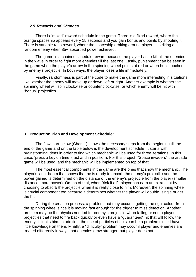#### <span id="page-9-0"></span>*2.5.Rewards and Chances*

There is "mixed" reward schedule in the game. There is a fixed reward, where the orange spaceship appears every 15 seconds and you gain bonus and points by shooting it. There is variable ratio reward, where the spaceship orbiting around player, is striking a random enemy when 85+ absorbed power achieved.

The game is a chained schedule reward because the player has to kill all the enemies in the wave in order to fight more enemies till the last one. Lastly, punishment can be seen in the game when the player's arrow in the spinning wheel points at red or when he is touched by enemy's projectile. In both ways, the player loses a life immediately.

Finally, randomness is part of the code to make the game more interesting in situations like whether the enemy will move up or down, left or right. Another example is whether the spinning wheel will spin clockwise or counter clockwise, or which enemy will be hit with "bonus" projectiles.

## <span id="page-9-1"></span>**3. Production Plan and Development Schedule:**

The flowchart below (Chart 1) shows the necessary steps from the beginning till the end of the game and on the table below is the development schedule. It starts with brainstorming ideas in order to find which mechanic will be used for three iterations. In this case, 'press a key on time' (fast and in position). For this project, "Space invaders" the arcade game will be used, and the mechanic will be implemented on top of that.

The most essential components in the game are the ones that show the mechanic. The player's laser beam that shows that he is ready to absorb the enemy's projectile and the power gained is determined on the distance of the enemy's projectile from the player (smaller distance, more power). On top of that, when "risk it all", player can earn an extra shot by choosing to absorb the projectile when it is really close to him. Moreover, the spinning wheel is crucial component too because it determines whether the player will double, single or get the hit.

During the creation process, a problem that may occur is getting the right colour from the spinning wheel since it is moving fast enough for the trigger to miss detection. Another problem may be the physics needed for enemy's projectile when falling or some player's projectiles that need to fire back quickly or even have a "guaranteed" hit that will follow the enemy till it hits him. In addition, the use of particles effects can be a problem since I have little knowledge on them. Finally, a "difficulty" problem may occur if player and enemies are treated differently in ways that enemies grow stronger, but player does not.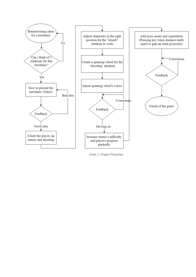

*Chart 1: Project Flowchart*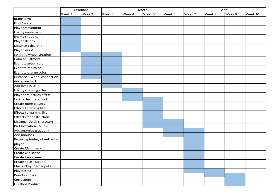|                                 | February |        | March  |        |        | April  |        |        |        |         |
|---------------------------------|----------|--------|--------|--------|--------|--------|--------|--------|--------|---------|
|                                 | Week 1   | Week 2 | Week 3 | Week 4 | Week 5 | Week 6 | Week 7 | Week 8 | Week 9 | Week 10 |
| Brainstorm                      |          |        |        |        |        |        |        |        |        |         |
| <b>Find Assets</b>              |          |        |        |        |        |        |        |        |        |         |
| Player movement                 |          |        |        |        |        |        |        |        |        |         |
| Enemy movement                  |          |        |        |        |        |        |        |        |        |         |
| Enemy shooting                  |          |        |        |        |        |        |        |        |        |         |
| Player absorb                   |          |        |        |        |        |        |        |        |        |         |
| Distance calculation            |          |        |        |        |        |        |        |        |        |         |
| Player shoot                    |          |        |        |        |        |        |        |        |        |         |
| Spinning wheel creation         |          |        |        |        |        |        |        |        |        |         |
| Color adjustment                |          |        |        |        |        |        |        |        |        |         |
| Event to green color            |          |        |        |        |        |        |        |        |        |         |
| Event to red color              |          |        |        |        |        |        |        |        |        |         |
| Event to orange color           |          |        |        |        |        |        |        |        |        |         |
| Distance + Wheel connection     |          |        |        |        |        |        |        |        |        |         |
| Add score in UI                 |          |        |        |        |        |        |        |        |        |         |
| Add lives in UI                 |          |        |        |        |        |        |        |        |        |         |
| Enemy charging effect           |          |        |        |        |        |        |        |        |        |         |
| Player projectiles effect       |          |        |        |        |        |        |        |        |        |         |
| Laser effect for absorb         |          |        |        |        |        |        |        |        |        |         |
| Create more players             |          |        |        |        |        |        |        |        |        |         |
| Effects for losing life         |          |        |        |        |        |        |        |        |        |         |
| Effects for gaining life        |          |        |        |        |        |        |        |        |        |         |
| <b>Efffects for destruction</b> |          |        |        |        |        |        |        |        |        |         |
| Dissamantle all characters      |          |        |        |        |        |        |        |        |        |         |
| Part lost when life low         |          |        |        |        |        |        |        |        |        |         |
| Add enemies gradually           |          |        |        |        |        |        |        |        |        |         |
| Add bonuses                     |          |        |        |        |        |        |        |        |        |         |
| Project spinning wheel below    |          |        |        |        |        |        |        |        |        |         |
| player                          |          |        |        |        |        |        |        |        |        |         |
| Create Main menu                |          |        |        |        |        |        |        |        |        |         |
| Create win scene                |          |        |        |        |        |        |        |        |        |         |
| Create lose scene               |          |        |        |        |        |        |        |        |        |         |
| Create splash screen            |          |        |        |        |        |        |        |        |        |         |
| Change keyboard inputs          |          |        |        |        |        |        |        |        |        |         |
| Playtesting                     |          |        |        |        |        |        |        |        |        |         |
| Peer Feedback                   |          |        |        |        |        |        |        |        |        |         |
| Corrections                     |          |        |        |        |        |        |        |        |        |         |
| <b>Finished Product</b>         |          |        |        |        |        |        |        |        |        |         |